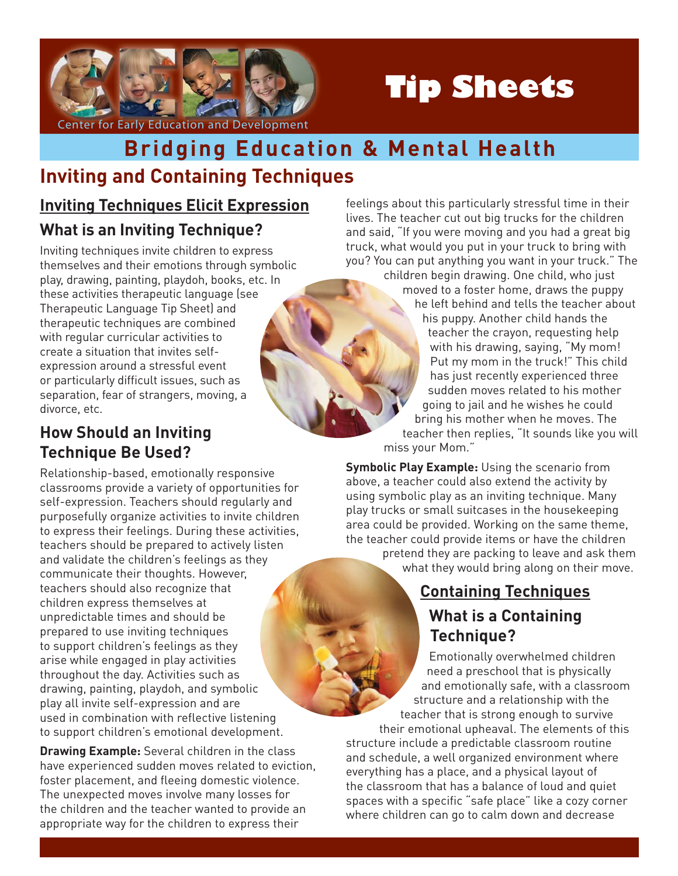

# **Tip Sheets**

#### Center for Early Education and Development

# **Inviting and Containing Techniques Bridging Education & Mental Health**

# **Inviting Techniques Elicit Expression What is an Inviting Technique?**

Inviting techniques invite children to express themselves and their emotions through symbolic play, drawing, painting, playdoh, books, etc. In these activities therapeutic language (see Therapeutic Language Tip Sheet) and therapeutic techniques are combined with regular curricular activities to create a situation that invites selfexpression around a stressful event or particularly difficult issues, such as separation, fear of strangers, moving, a divorce, etc.

# **How Should an Inviting Technique Be Used?**

Relationship-based, emotionally responsive classrooms provide a variety of opportunities for self-expression. Teachers should regularly and purposefully organize activities to invite children to express their feelings. During these activities, teachers should be prepared to actively listen and validate the children's feelings as they communicate their thoughts. However, teachers should also recognize that children express themselves at unpredictable times and should be prepared to use inviting techniques to support children's feelings as they arise while engaged in play activities throughout the day. Activities such as drawing, painting, playdoh, and symbolic play all invite self-expression and are used in combination with reflective listening to support children's emotional development.

**Drawing Example:** Several children in the class have experienced sudden moves related to eviction, foster placement, and fleeing domestic violence. The unexpected moves involve many losses for the children and the teacher wanted to provide an appropriate way for the children to express their

feelings about this particularly stressful time in their lives. The teacher cut out big trucks for the children and said, "If you were moving and you had a great big truck, what would you put in your truck to bring with you? You can put anything you want in your truck." The children begin drawing. One child, who just moved to a foster home, draws the puppy he left behind and tells the teacher about his puppy. Another child hands the teacher the crayon, requesting help with his drawing, saying, "My mom! Put my mom in the truck!" This child has just recently experienced three sudden moves related to his mother going to jail and he wishes he could bring his mother when he moves. The teacher then replies, "It sounds like you will miss your Mom."

**Symbolic Play Example:** Using the scenario from above, a teacher could also extend the activity by using symbolic play as an inviting technique. Many play trucks or small suitcases in the housekeeping area could be provided. Working on the same theme, the teacher could provide items or have the children

pretend they are packing to leave and ask them what they would bring along on their move.

# **Containing Techniques What is a Containing Technique?**

Emotionally overwhelmed children need a preschool that is physically and emotionally safe, with a classroom structure and a relationship with the teacher that is strong enough to survive their emotional upheaval. The elements of this structure include a predictable classroom routine and schedule, a well organized environment where everything has a place, and a physical layout of the classroom that has a balance of loud and quiet spaces with a specific "safe place" like a cozy corner where children can go to calm down and decrease